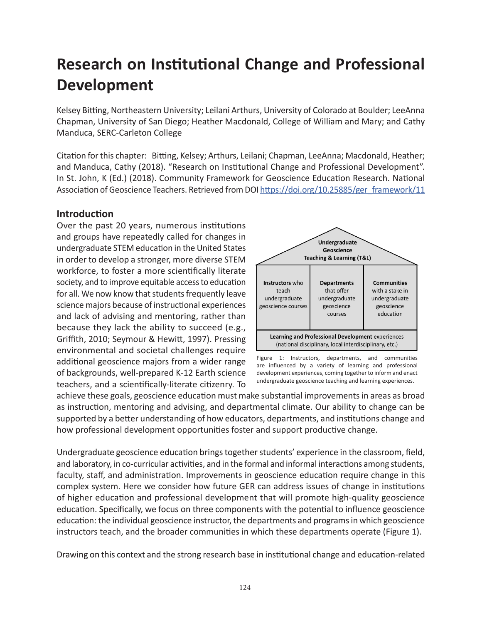# **Research on Institutional Change and Professional Development**

Kelsey Bitting, Northeastern University; Leilani Arthurs, University of Colorado at Boulder; LeeAnna Chapman, University of San Diego; Heather Macdonald, College of William and Mary; and Cathy Manduca, SERC-Carleton College

Citation for this chapter: Bitting, Kelsey; Arthurs, Leilani; Chapman, LeeAnna; Macdonald, Heather; and Manduca, Cathy (2018). "Research on Institutional Change and Professional Development". In St. John, K (Ed.) (2018). Community Framework for Geoscience Education Research. National Association of Geoscience Teachers. Retrieved from DOI [https://doi.org/10.25885/ger\\_framework/11](https://doi.org/10.25885/ger_framework/11)

### **Introduction**

Over the past 20 years, numerous institutions and groups have repeatedly called for changes in undergraduate STEM education in the United States in order to develop a stronger, more diverse STEM workforce, to foster a more scientifically literate society, and to improve equitable access to education for all. We now know that students frequently leave science majors because of instructional experiences and lack of advising and mentoring, rather than because they lack the ability to succeed (e.g., Griffith, 2010; Seymour & Hewitt, 1997). Pressing environmental and societal challenges require additional geoscience majors from a wider range of backgrounds, well-prepared K-12 Earth science teachers, and a scientifically-literate citizenry. To





achieve these goals, geoscience education must make substantial improvements in areas as broad as instruction, mentoring and advising, and departmental climate. Our ability to change can be supported by a better understanding of how educators, departments, and institutions change and how professional development opportunities foster and support productive change.

Undergraduate geoscience education brings together students' experience in the classroom, field, and laboratory, in co-curricular activities, and in the formal and informal interactions among students, faculty, staff, and administration. Improvements in geoscience education require change in this complex system. Here we consider how future GER can address issues of change in institutions of higher education and professional development that will promote high-quality geoscience education. Specifically, we focus on three components with the potential to influence geoscience education: the individual geoscience instructor, the departments and programs in which geoscience instructors teach, and the broader communities in which these departments operate (Figure 1).

Drawing on this context and the strong research base in institutional change and education-related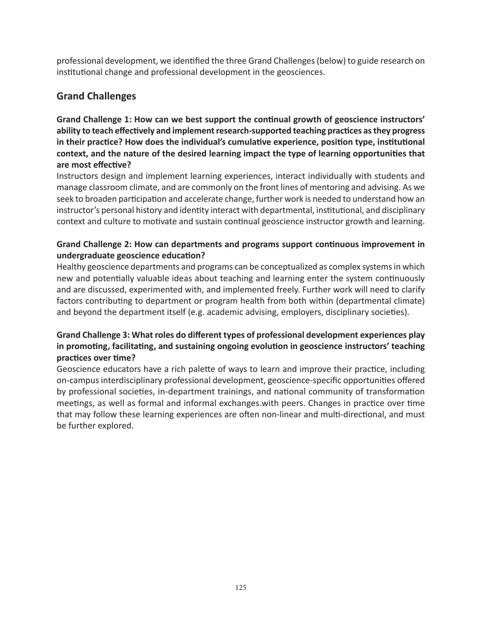professional development, we identified the three Grand Challenges (below) to guide research on institutional change and professional development in the geosciences.

### **Grand Challenges**

**Grand Challenge 1: How can we best support the continual growth of geoscience instructors' ability to teach effectively and implement research-supported teaching practices as they progress in their practice? How does the individual's cumulative experience, position type, institutional context, and the nature of the desired learning impact the type of learning opportunities that are most effective?**

Instructors design and implement learning experiences, interact individually with students and manage classroom climate, and are commonly on the front lines of mentoring and advising. As we seek to broaden participation and accelerate change, further work is needed to understand how an instructor's personal history and identity interact with departmental, institutional, and disciplinary context and culture to motivate and sustain continual geoscience instructor growth and learning.

#### **Grand Challenge 2: How can departments and programs support continuous improvement in undergraduate geoscience education?**

Healthy geoscience departments and programs can be conceptualized as complex systems in which new and potentially valuable ideas about teaching and learning enter the system continuously and are discussed, experimented with, and implemented freely. Further work will need to clarify factors contributing to department or program health from both within (departmental climate) and beyond the department itself (e.g. academic advising, employers, disciplinary societies).

### **Grand Challenge 3: What roles do different types of professional development experiences play in promoting, facilitating, and sustaining ongoing evolution in geoscience instructors' teaching practices over time?**

Geoscience educators have a rich palette of ways to learn and improve their practice, including on-campus interdisciplinary professional development, geoscience-specific opportunities offered by professional societies, in-department trainings, and national community of transformation meetings, as well as formal and informal exchanges.with peers. Changes in practice over time that may follow these learning experiences are often non-linear and multi-directional, and must be further explored.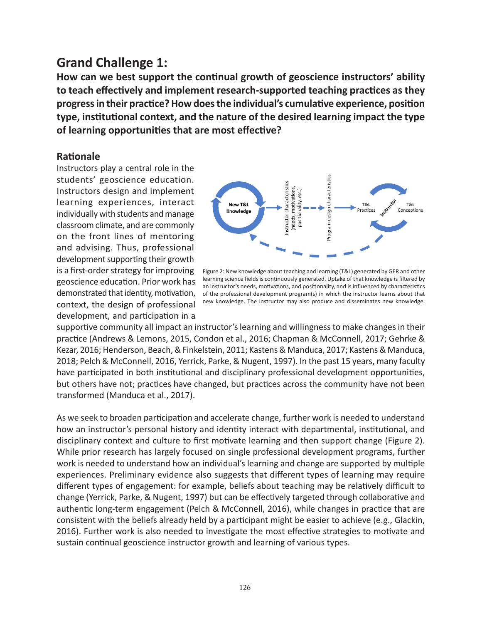### **Grand Challenge 1:**

**How can we best support the continual growth of geoscience instructors' ability to teach effectively and implement research-supported teaching practices as they progress in their practice? How does the individual's cumulative experience, position type, institutional context, and the nature of the desired learning impact the type of learning opportunities that are most effective?**

### **Rationale**

Instructors play a central role in the students' geoscience education. Instructors design and implement learning experiences, interact individually with students and manage classroom climate, and are commonly on the front lines of mentoring and advising. Thus, professional development supporting their growth is a first-order strategy for improving geoscience education. Prior work has context, the design of professional development, and participation in a



demonstrated that identity, motivation, of the professional development program(s) in which the instructor learns about that Figure 2: New knowledge about teaching and learning (T&L) generated by GER and other learning science fields is continuously generated. Uptake of that knowledge is filtered by an instructor's needs, motivations, and positionality, and is influenced by characteristics new knowledge. The instructor may also produce and disseminates new knowledge.

supportive community all impact an instructor's learning and willingness to make changes in their practice (Andrews & Lemons, 2015, Condon et al., 2016; Chapman & McConnell, 2017; Gehrke & Kezar, 2016; Henderson, Beach, & Finkelstein, 2011; Kastens & Manduca, 2017; Kastens & Manduca, 2018; Pelch & McConnell, 2016, Yerrick, Parke, & Nugent, 1997). In the past 15 years, many faculty have participated in both institutional and disciplinary professional development opportunities, but others have not; practices have changed, but practices across the community have not been transformed (Manduca et al., 2017).

As we seek to broaden participation and accelerate change, further work is needed to understand how an instructor's personal history and identity interact with departmental, institutional, and disciplinary context and culture to first motivate learning and then support change (Figure 2). While prior research has largely focused on single professional development programs, further work is needed to understand how an individual's learning and change are supported by multiple experiences. Preliminary evidence also suggests that different types of learning may require different types of engagement: for example, beliefs about teaching may be relatively difficult to change (Yerrick, Parke, & Nugent, 1997) but can be effectively targeted through collaborative and authentic long-term engagement (Pelch & McConnell, 2016), while changes in practice that are consistent with the beliefs already held by a participant might be easier to achieve (e.g., Glackin, 2016). Further work is also needed to investigate the most effective strategies to motivate and sustain continual geoscience instructor growth and learning of various types.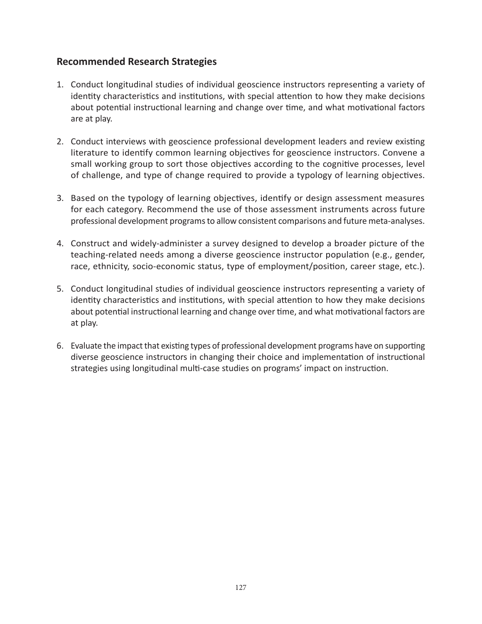### **Recommended Research Strategies**

- 1. Conduct longitudinal studies of individual geoscience instructors representing a variety of identity characteristics and institutions, with special attention to how they make decisions about potential instructional learning and change over time, and what motivational factors are at play.
- 2. Conduct interviews with geoscience professional development leaders and review existing literature to identify common learning objectives for geoscience instructors. Convene a small working group to sort those objectives according to the cognitive processes, level of challenge, and type of change required to provide a typology of learning objectives.
- 3. Based on the typology of learning objectives, identify or design assessment measures for each category. Recommend the use of those assessment instruments across future professional development programs to allow consistent comparisons and future meta-analyses.
- 4. Construct and widely-administer a survey designed to develop a broader picture of the teaching-related needs among a diverse geoscience instructor population (e.g., gender, race, ethnicity, socio-economic status, type of employment/position, career stage, etc.).
- 5. Conduct longitudinal studies of individual geoscience instructors representing a variety of identity characteristics and institutions, with special attention to how they make decisions about potential instructional learning and change over time, and what motivational factors are at play.
- 6. Evaluate the impact that existing types of professional development programs have on supporting diverse geoscience instructors in changing their choice and implementation of instructional strategies using longitudinal multi-case studies on programs' impact on instruction.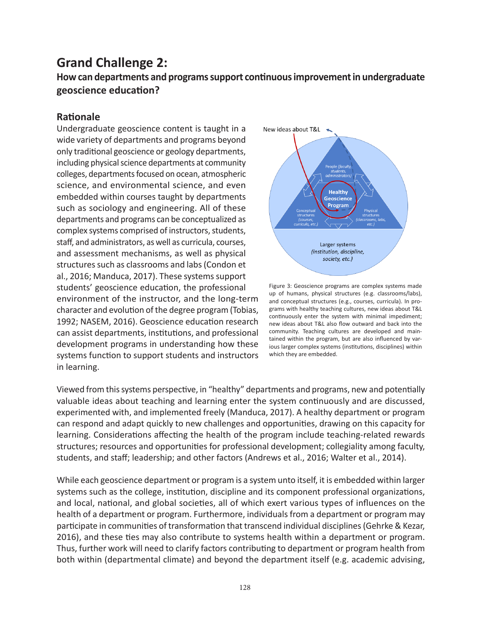## **Grand Challenge 2:**

**How can departments and programs support continuous improvement in undergraduate geoscience education?**

### **Rationale**

Undergraduate geoscience content is taught in a wide variety of departments and programs beyond only traditional geoscience or geology departments, including physical science departments at community colleges, departments focused on ocean, atmospheric science, and environmental science, and even embedded within courses taught by departments such as sociology and engineering. All of these departments and programs can be conceptualized as complex systems comprised of instructors, students, staff, and administrators, as well as curricula, courses, and assessment mechanisms, as well as physical structures such as classrooms and labs (Condon et al., 2016; Manduca, 2017). These systems support students' geoscience education, the professional environment of the instructor, and the long-term character and evolution of the degree program (Tobias, 1992; NASEM, 2016). Geoscience education research can assist departments, institutions, and professional development programs in understanding how these systems function to support students and instructors in learning.



Figure 3: Geoscience programs are complex systems made up of humans, physical structures (e.g. classrooms/labs), and conceptual structures (e.g., courses, curricula). In programs with healthy teaching cultures, new ideas about T&L continuously enter the system with minimal impediment; new ideas about T&L also flow outward and back into the community. Teaching cultures are developed and maintained within the program, but are also influenced by various larger complex systems (institutions, disciplines) within which they are embedded.

Viewed from this systems perspective, in "healthy" departments and programs, new and potentially valuable ideas about teaching and learning enter the system continuously and are discussed, experimented with, and implemented freely (Manduca, 2017). A healthy department or program can respond and adapt quickly to new challenges and opportunities, drawing on this capacity for learning. Considerations affecting the health of the program include teaching-related rewards structures; resources and opportunities for professional development; collegiality among faculty, students, and staff; leadership; and other factors (Andrews et al., 2016; Walter et al., 2014).

While each geoscience department or program is a system unto itself, it is embedded within larger systems such as the college, institution, discipline and its component professional organizations, and local, national, and global societies, all of which exert various types of influences on the health of a department or program. Furthermore, individuals from a department or program may participate in communities of transformation that transcend individual disciplines (Gehrke & Kezar, 2016), and these ties may also contribute to systems health within a department or program. Thus, further work will need to clarify factors contributing to department or program health from both within (departmental climate) and beyond the department itself (e.g. academic advising,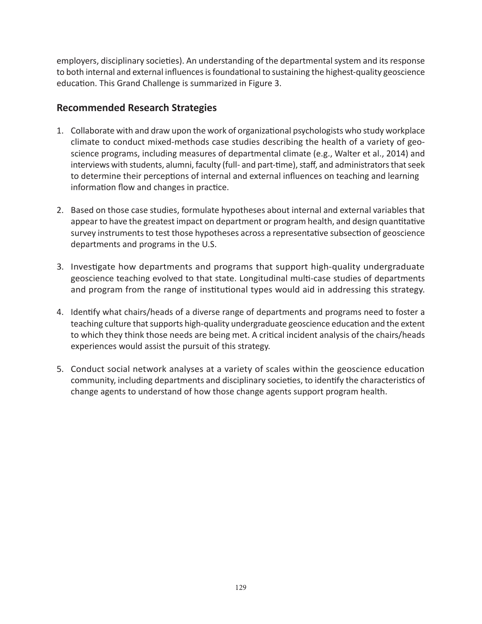employers, disciplinary societies). An understanding of the departmental system and its response to both internal and external influences is foundational to sustaining the highest-quality geoscience education. This Grand Challenge is summarized in Figure 3.

### **Recommended Research Strategies**

- 1. Collaborate with and draw upon the work of organizational psychologists who study workplace climate to conduct mixed-methods case studies describing the health of a variety of geoscience programs, including measures of departmental climate (e.g., Walter et al., 2014) and interviews with students, alumni, faculty (full- and part-time), staff, and administrators that seek to determine their perceptions of internal and external influences on teaching and learning information flow and changes in practice.
- 2. Based on those case studies, formulate hypotheses about internal and external variables that appear to have the greatest impact on department or program health, and design quantitative survey instruments to test those hypotheses across a representative subsection of geoscience departments and programs in the U.S.
- 3. Investigate how departments and programs that support high-quality undergraduate geoscience teaching evolved to that state. Longitudinal multi-case studies of departments and program from the range of institutional types would aid in addressing this strategy.
- 4. Identify what chairs/heads of a diverse range of departments and programs need to foster a teaching culture that supports high-quality undergraduate geoscience education and the extent to which they think those needs are being met. A critical incident analysis of the chairs/heads experiences would assist the pursuit of this strategy.
- 5. Conduct social network analyses at a variety of scales within the geoscience education community, including departments and disciplinary societies, to identify the characteristics of change agents to understand of how those change agents support program health.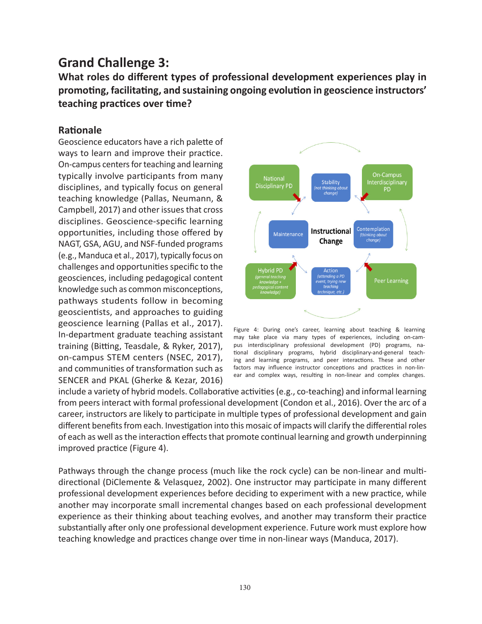## **Grand Challenge 3:**

**What roles do different types of professional development experiences play in promoting, facilitating, and sustaining ongoing evolution in geoscience instructors' teaching practices over time?**

### **Rationale**

Geoscience educators have a rich palette of ways to learn and improve their practice. On-campus centers for teaching and learning typically involve participants from many disciplines, and typically focus on general teaching knowledge (Pallas, Neumann, & Campbell, 2017) and other issues that cross disciplines. Geoscience-specific learning opportunities, including those offered by NAGT, GSA, AGU, and NSF-funded programs (e.g., Manduca et al., 2017), typically focus on challenges and opportunities specific to the geosciences, including pedagogical content knowledge such as common misconceptions, pathways students follow in becoming geoscientists, and approaches to guiding geoscience learning (Pallas et al., 2017). In-department graduate teaching assistant training (Bitting, Teasdale, & Ryker, 2017), on-campus STEM centers (NSEC, 2017), and communities of transformation such as SENCER and PKAL (Gherke & Kezar, 2016)



Figure 4: During one's career, learning about teaching & learning may take place via many types of experiences, including on-campus interdisciplinary professional development (PD) programs, national disciplinary programs, hybrid disciplinary-and-general teaching and learning programs, and peer interactions. These and other factors may influence instructor conceptions and practices in non-linear and complex ways, resulting in non-linear and complex changes.

include a variety of hybrid models. Collaborative activities (e.g., co-teaching) and informal learning from peers interact with formal professional development (Condon et al., 2016). Over the arc of a career, instructors are likely to participate in multiple types of professional development and gain different benefits from each. Investigation into this mosaic of impacts will clarify the differential roles of each as well as the interaction effects that promote continual learning and growth underpinning improved practice (Figure 4).

Pathways through the change process (much like the rock cycle) can be non-linear and multidirectional (DiClemente & Velasquez, 2002). One instructor may participate in many different professional development experiences before deciding to experiment with a new practice, while another may incorporate small incremental changes based on each professional development experience as their thinking about teaching evolves, and another may transform their practice substantially after only one professional development experience. Future work must explore how teaching knowledge and practices change over time in non-linear ways (Manduca, 2017).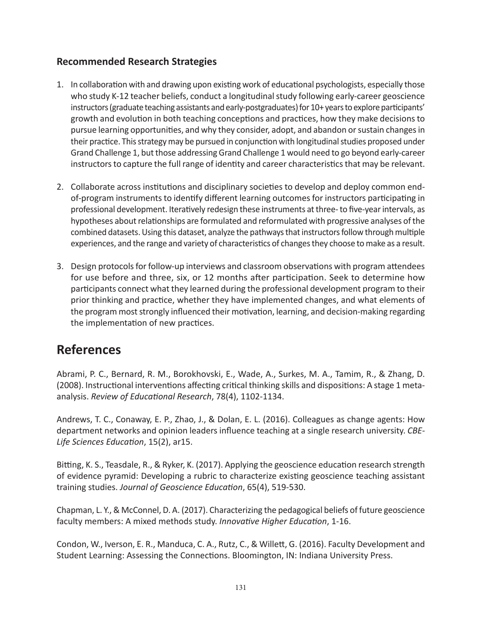### **Recommended Research Strategies**

- 1. In collaboration with and drawing upon existing work of educational psychologists, especially those who study K-12 teacher beliefs, conduct a longitudinal study following early-career geoscience instructors (graduate teaching assistants and early-postgraduates) for 10+ years to explore participants' growth and evolution in both teaching conceptions and practices, how they make decisions to pursue learning opportunities, and why they consider, adopt, and abandon or sustain changes in their practice. This strategy may be pursued in conjunction with longitudinal studies proposed under Grand Challenge 1, but those addressing Grand Challenge 1 would need to go beyond early-career instructors to capture the full range of identity and career characteristics that may be relevant.
- 2. Collaborate across institutions and disciplinary societies to develop and deploy common endof-program instruments to identify different learning outcomes for instructors participating in professional development. Iteratively redesign these instruments at three- to five-year intervals, as hypotheses about relationships are formulated and reformulated with progressive analyses of the combined datasets. Using this dataset, analyze the pathways that instructors follow through multiple experiences, and the range and variety of characteristics of changes they choose to make as a result.
- 3. Design protocols for follow-up interviews and classroom observations with program attendees for use before and three, six, or 12 months after participation. Seek to determine how participants connect what they learned during the professional development program to their prior thinking and practice, whether they have implemented changes, and what elements of the program most strongly influenced their motivation, learning, and decision-making regarding the implementation of new practices.

### **References**

Abrami, P. C., Bernard, R. M., Borokhovski, E., Wade, A., Surkes, M. A., Tamim, R., & Zhang, D. (2008). Instructional interventions affecting critical thinking skills and dispositions: A stage 1 metaanalysis. *Review of Educational Research*, 78(4), 1102-1134.

Andrews, T. C., Conaway, E. P., Zhao, J., & Dolan, E. L. (2016). Colleagues as change agents: How department networks and opinion leaders influence teaching at a single research university. *CBE-Life Sciences Education*, 15(2), ar15.

Bitting, K. S., Teasdale, R., & Ryker, K. (2017). Applying the geoscience education research strength of evidence pyramid: Developing a rubric to characterize existing geoscience teaching assistant training studies. *Journal of Geoscience Education*, 65(4), 519-530.

Chapman, L. Y., & McConnel, D. A. (2017). Characterizing the pedagogical beliefs of future geoscience faculty members: A mixed methods study. *Innovative Higher Education*, 1-16.

Condon, W., Iverson, E. R., Manduca, C. A., Rutz, C., & Willett, G. (2016). Faculty Development and Student Learning: Assessing the Connections. Bloomington, IN: Indiana University Press.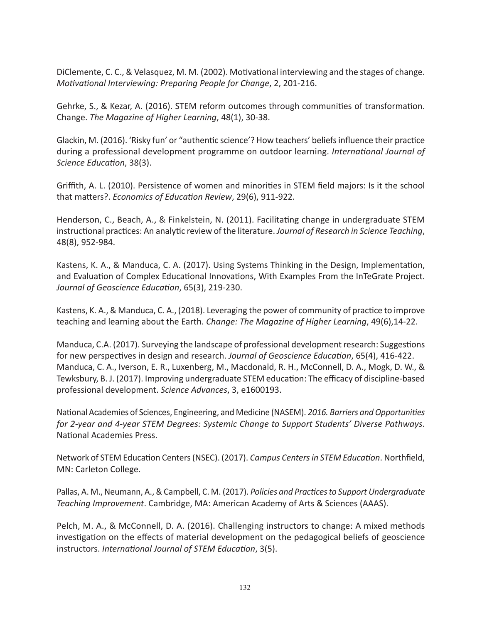DiClemente, C. C., & Velasquez, M. M. (2002). Motivational interviewing and the stages of change. *Motivational Interviewing: Preparing People for Change*, 2, 201-216.

Gehrke, S., & Kezar, A. (2016). STEM reform outcomes through communities of transformation. Change. *The Magazine of Higher Learning*, 48(1), 30-38.

Glackin, M. (2016). 'Risky fun' or "authentic science'? How teachers' beliefs influence their practice during a professional development programme on outdoor learning. *International Journal of Science Education*, 38(3).

Griffith, A. L. (2010). Persistence of women and minorities in STEM field majors: Is it the school that matters?. *Economics of Education Review*, 29(6), 911-922.

Henderson, C., Beach, A., & Finkelstein, N. (2011). Facilitating change in undergraduate STEM instructional practices: An analytic review of the literature. *Journal of Research in Science Teaching*, 48(8), 952-984.

Kastens, K. A., & Manduca, C. A. (2017). Using Systems Thinking in the Design, Implementation, and Evaluation of Complex Educational Innovations, With Examples From the InTeGrate Project. *Journal of Geoscience Education*, 65(3), 219-230.

Kastens, K. A., & Manduca, C. A., (2018). Leveraging the power of community of practice to improve teaching and learning about the Earth. *Change: The Magazine of Higher Learning*, 49(6),14-22.

Manduca, C.A. (2017). Surveying the landscape of professional development research: Suggestions for new perspectives in design and research. *Journal of Geoscience Education*, 65(4), 416-422. Manduca, C. A., Iverson, E. R., Luxenberg, M., Macdonald, R. H., McConnell, D. A., Mogk, D. W., & Tewksbury, B. J. (2017). Improving undergraduate STEM education: The efficacy of discipline-based professional development. *Science Advances*, 3, e1600193.

National Academies of Sciences, Engineering, and Medicine (NASEM). *2016. Barriers and Opportunities for 2-year and 4-year STEM Degrees: Systemic Change to Support Students' Diverse Pathways*. National Academies Press.

Network of STEM Education Centers (NSEC). (2017). *Campus Centers in STEM Education*. Northfield, MN: Carleton College.

Pallas, A. M., Neumann, A., & Campbell, C. M. (2017). *Policies and Practices to Support Undergraduate Teaching Improvement*. Cambridge, MA: American Academy of Arts & Sciences (AAAS).

Pelch, M. A., & McConnell, D. A. (2016). Challenging instructors to change: A mixed methods investigation on the effects of material development on the pedagogical beliefs of geoscience instructors. *International Journal of STEM Education*, 3(5).